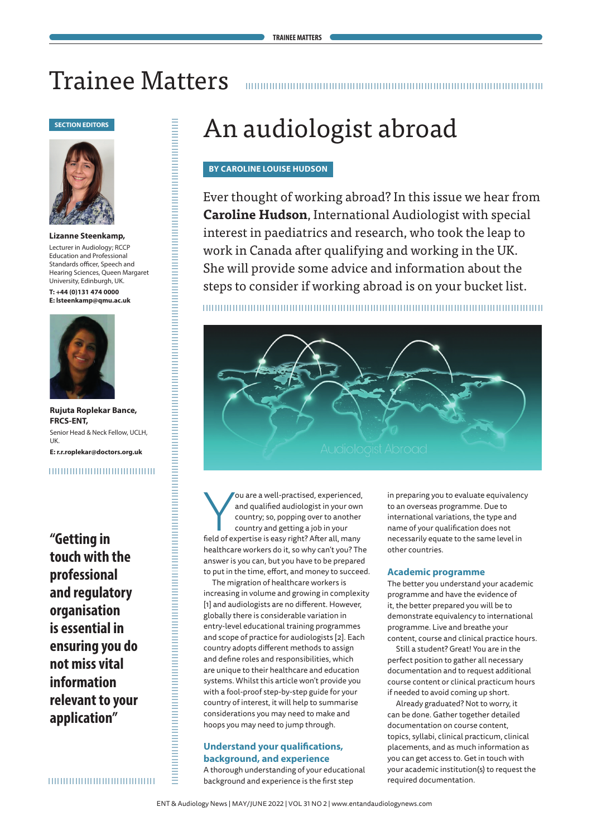# Trainee Matters



**Lizanne Steenkamp,** Lecturer in Audiology; RCCP Education and Professional Standards officer, Speech and Hearing Sciences, Queen Margaret University, Edinburgh, UK.

**T: +44 (0)131 474 0000 E: lsteenkamp@qmu.ac.uk**



**Rujuta Roplekar Bance, FRCS-ENT,** Senior Head & Neck Fellow, UCLH, UK. **E: r.r.roplekar@doctors.org.uk**

# 

**"Getting in touch with the professional and regulatory organisation is essential in ensuring you do not miss vital information relevant to your application"**

,,,,,,,,,,,,,,,,,,,,,,,,,,,,,,,,,

# **BY CAROLINE LOUISE HUDSON**

Ever thought of working abroad? In this issue we hear from **Caroline Hudson**, International Audiologist with special interest in paediatrics and research, who took the leap to work in Canada after qualifying and working in the UK. She will provide some advice and information about the steps to consider if working abroad is on your bucket list.



ou are a well-practised, experienced<br>and qualified audiologist in your owr<br>country, so, popping over to another<br>field of expertise is easy right? After all, many ou are a well-practised, experienced, and qualified audiologist in your own country; so, popping over to another country and getting a job in your healthcare workers do it, so why can't you? The answer is you can, but you have to be prepared to put in the time, effort, and money to succeed.

The migration of healthcare workers is increasing in volume and growing in complexity [1] and audiologists are no different. However, globally there is considerable variation in entry-level educational training programmes and scope of practice for audiologists [2]. Each country adopts different methods to assign and define roles and responsibilities, which are unique to their healthcare and education systems. Whilst this article won't provide you with a fool-proof step-by-step guide for your country of interest, it will help to summarise considerations you may need to make and hoops you may need to jump through.

# **Understand your qualifications, background, and experience**

A thorough understanding of your educational background and experience is the first step

in preparing you to evaluate equivalency to an overseas programme. Due to international variations, the type and name of your qualification does not necessarily equate to the same level in other countries.

# **Academic programme**

The better you understand your academic programme and have the evidence of it, the better prepared you will be to demonstrate equivalency to international programme. Live and breathe your content, course and clinical practice hours.

Still a student? Great! You are in the perfect position to gather all necessary documentation and to request additional course content or clinical practicum hours if needed to avoid coming up short.

Already graduated? Not to worry, it can be done. Gather together detailed documentation on course content, topics, syllabi, clinical practicum, clinical placements, and as much information as you can get access to. Get in touch with your academic institution(s) to request the required documentation.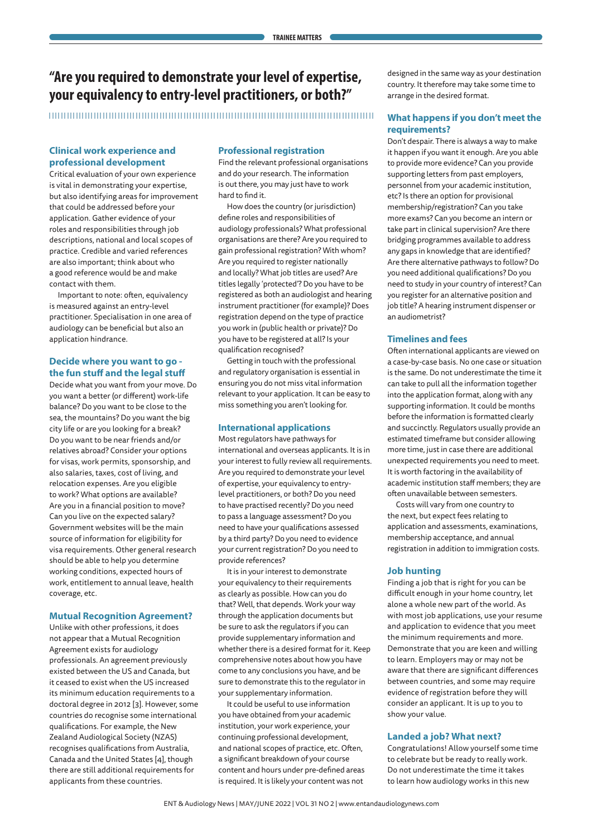# **"Are you required to demonstrate your level of expertise, your equivalency to entry-level practitioners, or both?"**

# **Clinical work experience and professional development**

Critical evaluation of your own experience is vital in demonstrating your expertise, but also identifying areas for improvement that could be addressed before your application. Gather evidence of your roles and responsibilities through job descriptions, national and local scopes of practice. Credible and varied references are also important; think about who a good reference would be and make contact with them.

Important to note: often, equivalency is measured against an entry-level practitioner. Specialisation in one area of audiology can be beneficial but also an application hindrance.

# **Decide where you want to go the fun stuff and the legal stuff**

Decide what you want from your move. Do you want a better (or different) work-life balance? Do you want to be close to the sea, the mountains? Do you want the big city life or are you looking for a break? Do you want to be near friends and/or relatives abroad? Consider your options for visas, work permits, sponsorship, and also salaries, taxes, cost of living, and relocation expenses. Are you eligible to work? What options are available? Are you in a financial position to move? Can you live on the expected salary? Government websites will be the main source of information for eligibility for visa requirements. Other general research should be able to help you determine working conditions, expected hours of work, entitlement to annual leave, health coverage, etc.

# **Mutual Recognition Agreement?**

Unlike with other professions, it does not appear that a Mutual Recognition Agreement exists for audiology professionals. An agreement previously existed between the US and Canada, but it ceased to exist when the US increased its minimum education requirements to a doctoral degree in 2012 [3]. However, some countries do recognise some international qualifications. For example, the New Zealand Audiological Society (NZAS) recognises qualifications from Australia, Canada and the United States [4], though there are still additional requirements for applicants from these countries.

# **Professional registration**

Find the relevant professional organisations and do your research. The information is out there, you may just have to work hard to find it.

How does the country (or jurisdiction) define roles and responsibilities of audiology professionals? What professional organisations are there? Are you required to gain professional registration? With whom? Are you required to register nationally and locally? What job titles are used? Are titles legally 'protected'? Do you have to be registered as both an audiologist and hearing instrument practitioner (for example)? Does registration depend on the type of practice you work in (public health or private)? Do you have to be registered at all? Is your qualification recognised?

Getting in touch with the professional and regulatory organisation is essential in ensuring you do not miss vital information relevant to your application. It can be easy to miss something you aren't looking for.

# **International applications**

Most regulators have pathways for international and overseas applicants. It is in your interest to fully review all requirements. Are you required to demonstrate your level of expertise, your equivalency to entrylevel practitioners, or both? Do you need to have practised recently? Do you need to pass a language assessment? Do you need to have your qualifications assessed by a third party? Do you need to evidence your current registration? Do you need to provide references?

It is in your interest to demonstrate your equivalency to their requirements as clearly as possible. How can you do that? Well, that depends. Work your way through the application documents but be sure to ask the regulators if you can provide supplementary information and whether there is a desired format for it. Keep comprehensive notes about how you have come to any conclusions you have, and be sure to demonstrate this to the regulator in your supplementary information.

It could be useful to use information you have obtained from your academic institution, your work experience, your continuing professional development, and national scopes of practice, etc. Often, a significant breakdown of your course content and hours under pre-defined areas is required. It is likely your content was not

designed in the same way as your destination country. It therefore may take some time to arrange in the desired format.

# **What happens if you don't meet the requirements?**

Don't despair. There is always a way to make it happen if you want it enough. Are you able to provide more evidence? Can you provide supporting letters from past employers, personnel from your academic institution, etc? Is there an option for provisional membership/registration? Can you take more exams? Can you become an intern or take part in clinical supervision? Are there bridging programmes available to address any gaps in knowledge that are identified? Are there alternative pathways to follow? Do you need additional qualifications? Do you need to study in your country of interest? Can you register for an alternative position and job title? A hearing instrument dispenser or an audiometrist?

# **Timelines and fees**

Often international applicants are viewed on a case-by-case basis. No one case or situation is the same. Do not underestimate the time it can take to pull all the information together into the application format, along with any supporting information. It could be months before the information is formatted clearly and succinctly. Regulators usually provide an estimated timeframe but consider allowing more time, just in case there are additional unexpected requirements you need to meet. It is worth factoring in the availability of academic institution staff members; they are often unavailable between semesters.

Costs will vary from one country to the next, but expect fees relating to application and assessments, examinations, membership acceptance, and annual registration in addition to immigration costs.

# **Job hunting**

Finding a job that is right for you can be difficult enough in your home country, let alone a whole new part of the world. As with most job applications, use your resume and application to evidence that you meet the minimum requirements and more. Demonstrate that you are keen and willing to learn. Employers may or may not be aware that there are significant differences between countries, and some may require evidence of registration before they will consider an applicant. It is up to you to show your value.

# **Landed a job? What next?**

Congratulations! Allow yourself some time to celebrate but be ready to really work. Do not underestimate the time it takes to learn how audiology works in this new